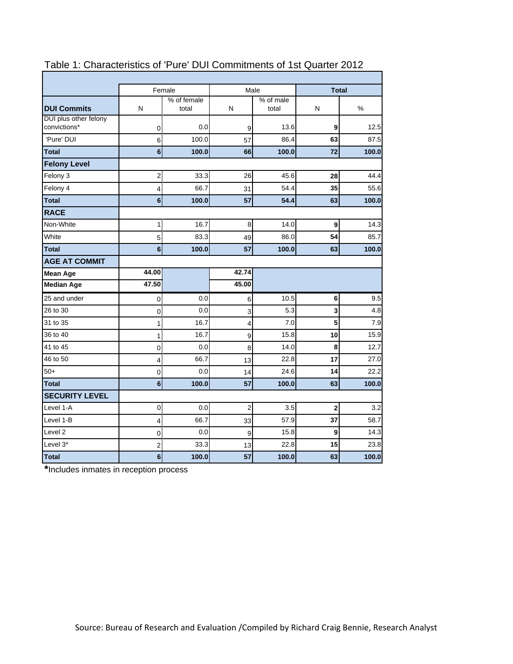|                                       |                | Female               | Male                    |                    | <b>Total</b> |       |
|---------------------------------------|----------------|----------------------|-------------------------|--------------------|--------------|-------|
| <b>DUI Commits</b>                    | N              | % of female<br>total | N                       | % of male<br>total | N            | %     |
| DUI plus other felony<br>convictions* | 0              | 0.0                  | 9                       | 13.6               | 9            | 12.5  |
| 'Pure' DUI                            | 6              | 100.0                | 57                      | 86.4               | 63           | 87.5  |
| <b>Total</b>                          | 6              | 100.0                | 66                      | 100.0              | 72           | 100.0 |
| <b>Felony Level</b>                   |                |                      |                         |                    |              |       |
| Felony 3                              | $\overline{c}$ | 33.3                 | 26                      | 45.6               | 28           | 44.4  |
| Felony 4                              | 4              | 66.7                 | 31                      | 54.4               | 35           | 55.6  |
| <b>Total</b>                          | 6              | 100.0                | 57                      | 54.4               | 63           | 100.0 |
| <b>RACE</b>                           |                |                      |                         |                    |              |       |
| Non-White                             | 1              | 16.7                 | 8                       | 14.0               | 9            | 14.3  |
| White                                 | 5              | 83.3                 | 49                      | 86.0               | 54           | 85.7  |
| <b>Total</b>                          | 6              | 100.0                | 57                      | 100.0              | 63           | 100.0 |
| <b>AGE AT COMMIT</b>                  |                |                      |                         |                    |              |       |
| <b>Mean Age</b>                       | 44.00          |                      | 42.74                   |                    |              |       |
| <b>Median Age</b>                     | 47.50          |                      | 45.00                   |                    |              |       |
| 25 and under                          | $\pmb{0}$      | 0.0                  |                         | 10.5               | 6            |       |
|                                       |                |                      | 6                       |                    |              | 9.5   |
| 26 to 30                              | 0              | 0.0                  | 3                       | 5.3                | 3            | 4.8   |
| 31 to 35                              | 1              | 16.7                 | 4                       | 7.0                | 5            | 7.9   |
| 36 to 40                              | 1              | 16.7                 | 9                       | 15.8               | 10           | 15.9  |
| 41 to 45                              | 0              | 0.0                  | 8                       | 14.0               | 8            | 12.7  |
| 46 to 50                              | 4              | 66.7                 | 13                      | 22.8               | 17           | 27.0  |
| $50+$                                 | $\mathbf 0$    | 0.0                  | 14                      | 24.6               | 14           | 22.2  |
| <b>Total</b>                          | 6              | 100.0                | 57                      | 100.0              | 63           | 100.0 |
| <b>SECURITY LEVEL</b>                 |                |                      |                         |                    |              |       |
| Level 1-A                             | 0              | 0.0                  | $\overline{\mathbf{c}}$ | 3.5                | $\mathbf 2$  | 3.2   |
| Level 1-B                             | 4              | 66.7                 | 33                      | 57.9               | 37           | 58.7  |
| Level <sub>2</sub>                    | 0              | 0.0                  | 9                       | 15.8               | 9            | 14.3  |
| Level 3*                              | 2              | 33.3                 | 13                      | 22.8               | 15           | 23.8  |

# Table 1: Characteristics of 'Pure' DUI Commitments of 1st Quarter 2012

**\***Includes inmates in reception process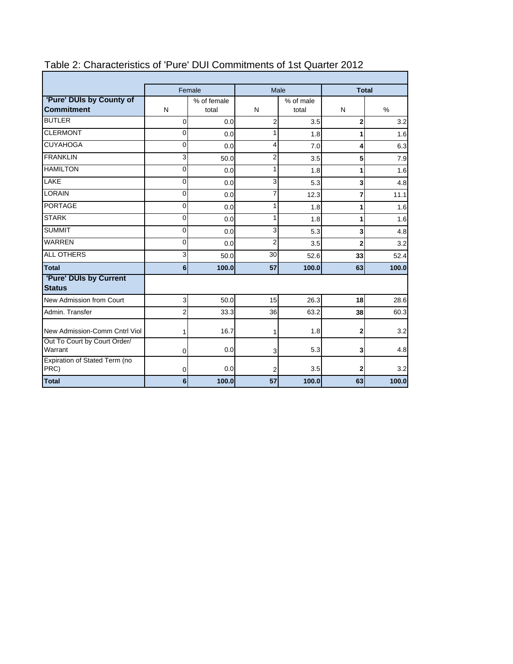|                                               |                         | Female               |                | Male               | <b>Total</b>            |               |  |
|-----------------------------------------------|-------------------------|----------------------|----------------|--------------------|-------------------------|---------------|--|
| 'Pure' DUIs by County of<br><b>Commitment</b> | N                       | % of female<br>total | N              | % of male<br>total | N                       | $\frac{0}{0}$ |  |
| <b>BUTLER</b>                                 | 0                       | 0.0                  | 2              | 3.5                | $\overline{2}$          | 3.2           |  |
| <b>CLERMONT</b>                               | 0                       | 0.0                  | 1              | 1.8                | 1                       | 1.6           |  |
| <b>CUYAHOGA</b>                               | $\Omega$                | 0.0                  | 4              | 7.0                | 4                       | 6.3           |  |
| <b>FRANKLIN</b>                               | ვ                       | 50.0                 | $\overline{2}$ | 3.5                | 5                       | 7.9           |  |
| <b>HAMILTON</b>                               | $\mathbf 0$             | 0.0                  | 1              | 1.8                |                         | 1.6           |  |
| LAKE                                          | $\Omega$                | 0.0                  | 3              | 5.3                | $\overline{\mathbf{3}}$ | 4.8           |  |
| <b>LORAIN</b>                                 | $\Omega$                | 0.0                  | 7              | 12.3               | 7                       | 11.1          |  |
| <b>PORTAGE</b>                                | 0                       | 0.0                  | 1              | 1.8                | 1                       | 1.6           |  |
| <b>STARK</b>                                  | 0                       | 0.0                  | 1              | 1.8                |                         | 1.6           |  |
| <b>SUMMIT</b>                                 | $\overline{0}$          | 0.0                  | 3              | 5.3                | 3                       | 4.8           |  |
| <b>WARREN</b>                                 | $\overline{\mathbf{0}}$ | 0.0                  | $\overline{c}$ | 3.5                | $\overline{2}$          | 3.2           |  |
| <b>ALL OTHERS</b>                             | ვ                       | 50.0                 | 30             | 52.6               | 33                      | 52.4          |  |
| <b>Total</b>                                  | $6 \overline{6}$        | 100.0                | 57             | 100.0              | 63                      | 100.0         |  |
| 'Pure' DUIs by Current<br><b>Status</b>       |                         |                      |                |                    |                         |               |  |
| New Admission from Court                      | 3                       | 50.0                 | 15             | 26.3               | 18                      | 28.6          |  |
| Admin, Transfer                               | $\overline{2}$          | 33.3                 | 36             | 63.2               | 38                      | 60.3          |  |
| New Admission-Comm Cntrl Viol                 | 1                       | 16.7                 | 1              | 1.8                | $\mathbf{2}$            | 3.2           |  |
| Out To Court by Court Order/<br>Warrant       | 0                       | 0.0                  | 3              | 5.3                | 3                       | 4.8           |  |
| Expiration of Stated Term (no<br>PRC)         | $\mathbf 0$             | 0.0                  | 2              | 3.5                | $\mathbf{2}$            | 3.2           |  |
| <b>Total</b>                                  | 6                       | 100.0                | 57             | 100.0              | 63                      | 100.0         |  |

## Table 2: Characteristics of 'Pure' DUI Commitments of 1st Quarter 2012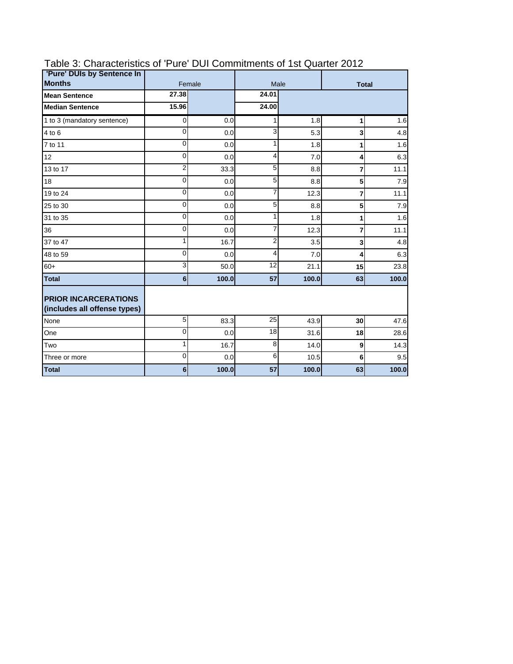| 'Pure' DUIs by Sentence In                                  |                  |        |                 |       |                         |       |  |
|-------------------------------------------------------------|------------------|--------|-----------------|-------|-------------------------|-------|--|
| <b>Months</b>                                               |                  | Female |                 | Male  | <b>Total</b>            |       |  |
| <b>Mean Sentence</b>                                        | 27.38            |        | 24.01           |       |                         |       |  |
| <b>Median Sentence</b>                                      | 15.96            |        | 24.00           |       |                         |       |  |
| 1 to 3 (mandatory sentence)                                 | $\overline{O}$   | 0.0    | 1               | 1.8   | 1                       | 1.6   |  |
| 4 to 6                                                      | $\mathbf{0}$     | 0.0    | 3               | 5.3   | 3                       | 4.8   |  |
| 7 to 11                                                     | $\overline{0}$   | 0.0    | 1               | 1.8   | 1                       | 1.6   |  |
| 12                                                          | 0                | 0.0    | 4               | 7.0   | 4                       | 6.3   |  |
| 13 to 17                                                    | $\overline{2}$   | 33.3   | $\overline{5}$  | 8.8   | $\overline{7}$          | 11.1  |  |
| 18                                                          | $\mathbf{0}$     | 0.0    | 5               | 8.8   | 5                       | 7.9   |  |
| 19 to 24                                                    | 0                | 0.0    | 7               | 12.3  | $\overline{7}$          | 11.1  |  |
| 25 to 30                                                    | $\Omega$         | 0.0    | 5               | 8.8   | 5                       | 7.9   |  |
| 31 to 35                                                    | $\Omega$         | 0.0    | 1               | 1.8   | 1                       | 1.6   |  |
| 36                                                          | $\mathbf{0}$     | 0.0    | 7               | 12.3  | $\overline{7}$          | 11.1  |  |
| 37 to 47                                                    | 1                | 16.7   | 2               | 3.5   | $\overline{\mathbf{3}}$ | 4.8   |  |
| 48 to 59                                                    | $\mathbf{0}$     | 0.0    | 4               | 7.0   | 4                       | 6.3   |  |
| $60+$                                                       | 3                | 50.0   | 12              | 21.1  | 15                      | 23.8  |  |
| <b>Total</b>                                                | $6\phantom{a}$   | 100.0  | 57              | 100.0 | 63                      | 100.0 |  |
| <b>PRIOR INCARCERATIONS</b><br>(includes all offense types) |                  |        |                 |       |                         |       |  |
| None                                                        | 5                | 83.3   | 25              | 43.9  | 30                      | 47.6  |  |
| One                                                         | $\overline{0}$   | 0.0    | $\overline{18}$ | 31.6  | 18                      | 28.6  |  |
| Two                                                         | $\mathbf{1}$     | 16.7   | 8               | 14.0  | 9                       | 14.3  |  |
| Three or more                                               | $\Omega$         | 0.0    | 6               | 10.5  | 6                       | 9.5   |  |
| <b>Total</b>                                                | $6 \overline{6}$ | 100.0  | 57              | 100.0 | 63                      | 100.0 |  |

## Table 3: Characteristics of 'Pure' DUI Commitments of 1st Quarter 2012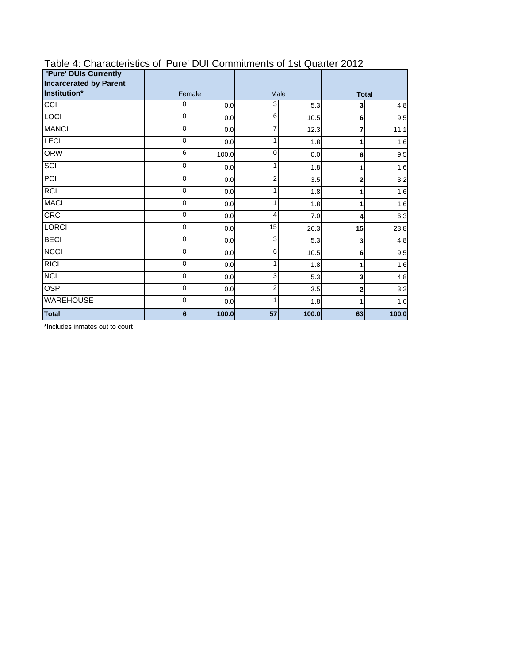| <b>'Pure' DUIs Currently</b>                  |                |       |                |       |                |       |  |
|-----------------------------------------------|----------------|-------|----------------|-------|----------------|-------|--|
| <b>Incarcerated by Parent</b><br>Institution* | Female         |       |                | Male  | <b>Total</b>   |       |  |
| $\overline{C}$                                | $\overline{0}$ | 0.0   | 3              | 5.3   | 3              | 4.8   |  |
| <b>LOCI</b>                                   | $\Omega$       | 0.0   | 6              | 10.5  | 6              | 9.5   |  |
| <b>MANCI</b>                                  | $\mathbf 0$    | 0.0   | 7              | 12.3  | 7              | 11.1  |  |
| LECI                                          | 0              | 0.0   | 1              | 1.8   | 1              | 1.6   |  |
| <b>ORW</b>                                    | 6              | 100.0 | 0              | 0.0   | 6              | 9.5   |  |
| <b>SCI</b>                                    | $\overline{O}$ | 0.0   | 1              | 1.8   | 1              | 1.6   |  |
| $\overline{PCI}$                              | 0              | 0.0   | 2              | 3.5   | $\overline{2}$ | 3.2   |  |
| <b>RCI</b>                                    | $\overline{O}$ | 0.0   | 1              | 1.8   | 1              | 1.6   |  |
| <b>MACI</b>                                   | $\overline{O}$ | 0.0   | 1              | 1.8   | 1              | 1.6   |  |
| CRC                                           | 0              | 0.0   | 4              | 7.0   | 4              | 6.3   |  |
| <b>LORCI</b>                                  | 0              | 0.0   | 15             | 26.3  | 15             | 23.8  |  |
| <b>BECI</b>                                   | $\overline{O}$ | 0.0   | 3              | 5.3   | 3              | 4.8   |  |
| <b>NCCI</b>                                   | $\mathbf 0$    | 0.0   | 6              | 10.5  | 6              | 9.5   |  |
| RICI                                          | $\mathbf 0$    | 0.0   | 1              | 1.8   | 1              | 1.6   |  |
| $\overline{NCI}$                              | $\overline{O}$ | 0.0   | 3              | 5.3   | 3              | 4.8   |  |
| <b>OSP</b>                                    | $\mathbf 0$    | 0.0   | $\overline{2}$ | 3.5   | 2              | 3.2   |  |
| <b>WAREHOUSE</b>                              | $\overline{0}$ | 0.0   | 1              | 1.8   | 1              | 1.6   |  |
| <b>Total</b>                                  | 6 <sup>1</sup> | 100.0 | 57             | 100.0 | 63             | 100.0 |  |

## Table 4: Characteristics of 'Pure' DUI Commitments of 1st Quarter 2012

\*Includes inmates out to court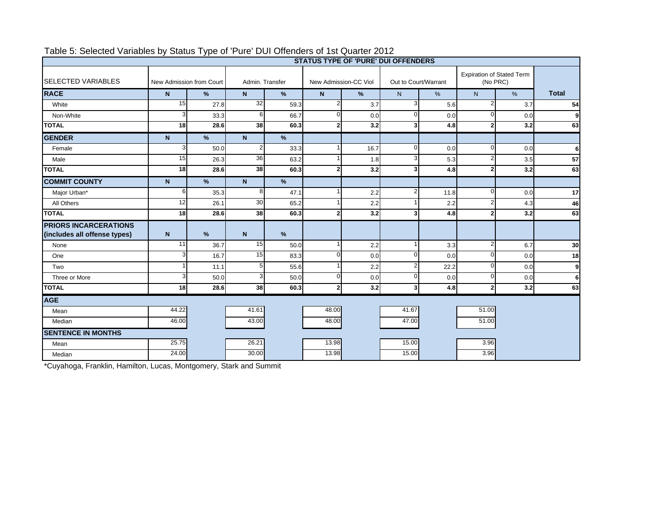|                                                              | ╯<br><b>STATUS TYPE OF 'PURE' DUI OFFENDERS</b> |                          |                  |                                          |                |                      |                |                                              |                    |      |              |
|--------------------------------------------------------------|-------------------------------------------------|--------------------------|------------------|------------------------------------------|----------------|----------------------|----------------|----------------------------------------------|--------------------|------|--------------|
| <b>SELECTED VARIABLES</b>                                    |                                                 | New Admission from Court |                  | Admin. Transfer<br>New Admission-CC Viol |                | Out to Court/Warrant |                | <b>Expiration of Stated Term</b><br>(No PRC) |                    |      |              |
| <b>RACE</b>                                                  | $\mathbf N$                                     | %                        | N                | $\frac{9}{6}$                            | N              | %                    | N              | %                                            | N                  | $\%$ | <b>Total</b> |
| White                                                        | 15                                              | 27.8                     | 32               | 59.3                                     | $\overline{2}$ | 3.7                  | 3              | 5.6                                          | $\overline{2}$     | 3.7  | 54           |
| Non-White                                                    |                                                 | 33.3                     | $6 \overline{6}$ | 66.7                                     |                | 0.0                  | $\Omega$       | 0.0                                          | 0                  | 0.0  | 9            |
| <b>TOTAL</b>                                                 | 18                                              | 28.6                     | 38               | 60.3                                     | 2              | 3.2                  | 31             | 4.8                                          | $\overline{2}$     | 3.2  | 63           |
| <b>GENDER</b>                                                | $\mathbf N$                                     | $\frac{9}{6}$            | $\mathsf{N}$     | $\frac{9}{6}$                            |                |                      |                |                                              |                    |      |              |
| Female                                                       | 3                                               | 50.0                     | 2                | 33.3                                     |                | 16.7                 | ΩI             | 0.0                                          | 0                  | 0.0  | 6            |
| Male                                                         | 15                                              | 26.3                     | 36               | 63.2                                     |                | 1.8                  | 3              | 5.3                                          | 2                  | 3.5  | 57           |
| <b>TOTAL</b>                                                 | 18                                              | 28.6                     | 38               | 60.3                                     | $\overline{2}$ | 3.2                  | 3              | 4.8                                          | $\overline{2}$     | 3.2  | 63           |
| <b>COMMIT COUNTY</b>                                         | $\overline{N}$                                  | $\%$                     | $\mathsf{N}$     | %                                        |                |                      |                |                                              |                    |      |              |
| Major Urban*                                                 | 6                                               | 35.3                     | 8                | 47.1                                     |                | 2.2                  | $\overline{2}$ | 11.8                                         | $\Omega$           | 0.0  | 17           |
| All Others                                                   | 12                                              | 26.1                     | 30               | 65.2                                     |                | 2.2                  |                | 2.2                                          | $\overline{2}$     | 4.3  | 46           |
| <b>TOTAL</b>                                                 | 18                                              | 28.6                     | 38               | 60.3                                     | 2              | 3.2                  | 31             | 4.8                                          | $\overline{2}$     | 3.2  | 63           |
| <b>PRIORS INCARCERATIONS</b><br>(includes all offense types) | $\overline{N}$                                  | %                        | $\overline{N}$   | %                                        |                |                      |                |                                              |                    |      |              |
| None                                                         | 11                                              | 36.7                     | 15               | 50.0                                     |                | 2.2                  |                | 3.3                                          | $\overline{2}$     | 6.7  | 30           |
| One                                                          | 3                                               | 16.7                     | 15               | 83.3                                     | O              | 0.0                  | $\Omega$       | 0.0                                          | $\Omega$           | 0.0  | 18           |
| Two                                                          |                                                 | 11.1                     | 5                | 55.6                                     |                | 2.2                  | $\overline{2}$ | 22.2                                         | $\Omega$           | 0.0  | 9            |
| Three or More                                                | з                                               | 50.0                     | 3                | 50.0                                     | $\Omega$       | 0.0                  | $\Omega$       | 0.0                                          | $\Omega$           | 0.0  | 6            |
| <b>TOTAL</b>                                                 | 18                                              | 28.6                     | 38               | 60.3                                     | $\overline{2}$ | 3.2                  | 3 <sup>l</sup> | 4.8                                          | $\overline{2}$     | 3.2  | 63           |
| <b>AGE</b>                                                   |                                                 |                          |                  |                                          |                |                      |                |                                              |                    |      |              |
| Mean                                                         | 44.22                                           |                          | 41.61            |                                          | 48.00          |                      | 41.67          |                                              | 51.00              |      |              |
| Median                                                       | 46.00                                           |                          | 43.00            |                                          | 48.00          |                      | 47.00          |                                              | $\overline{51.00}$ |      |              |
| <b>SENTENCE IN MONTHS</b>                                    |                                                 |                          |                  |                                          |                |                      |                |                                              |                    |      |              |
| Mean                                                         | 25.75                                           |                          | 26.21            |                                          | 13.98          |                      | 15.00          |                                              | 3.96               |      |              |
| Median                                                       | 24.00                                           |                          | 30.00            |                                          | 13.98          |                      | 15.00          |                                              | 3.96               |      |              |

### Table 5: Selected Variables by Status Type of 'Pure' DUI Offenders of 1st Quarter 2012

\*Cuyahoga, Franklin, Hamilton, Lucas, Montgomery, Stark and Summit